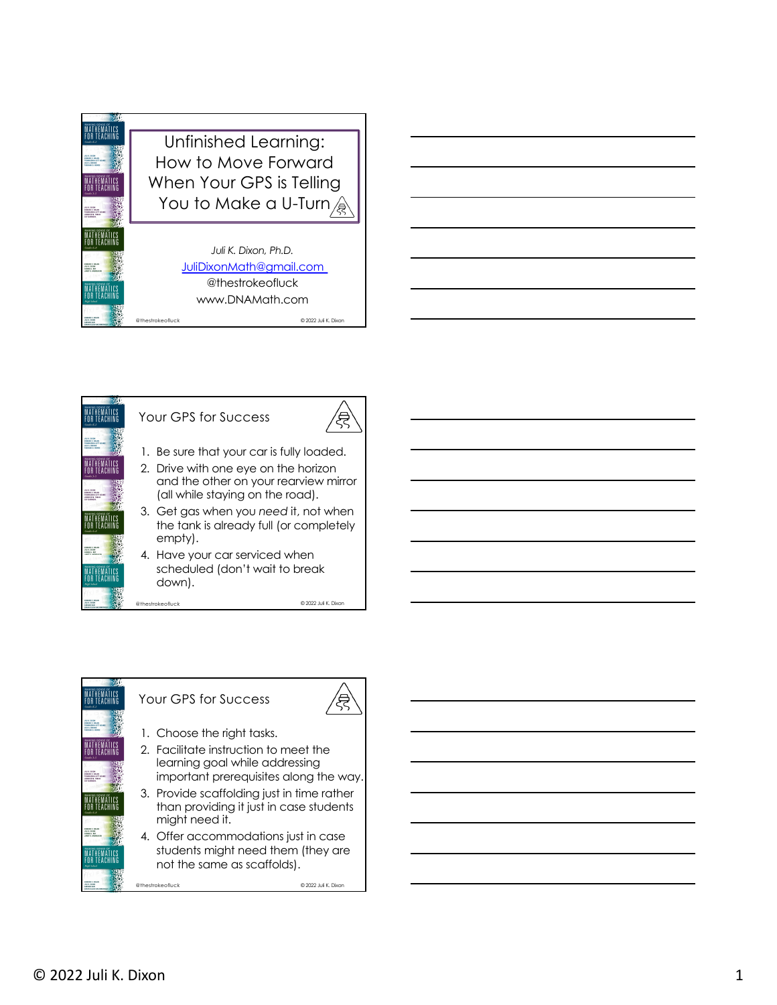|                                                                                                         | Unfinished Learning:     |
|---------------------------------------------------------------------------------------------------------|--------------------------|
| <b>HALF BOON</b><br><b><i>DAILY CANAR</i></b><br><b><i>URALLWA LOTT MANIE</i></b><br><b>TA A SERATE</b> | How to Move Forward      |
|                                                                                                         | When Your GPS is Telling |
| <b>DAILY CAUSE</b><br><b>HEARINA LOTT MANY</b><br><b><i>SHELLY M. THEA</i></b>                          | You to Make a U-Turn     |
|                                                                                                         | Juli K. Dixon, Ph.D.     |
| <b>HELP BOON</b><br><b>HEATE - BM</b>                                                                   | JuliDixonMath@gmail.com  |
|                                                                                                         | @thestrokeofluck         |
|                                                                                                         | www.DNAMath.com          |

@thestrokeofluck © 2022 Juli K. Dixon



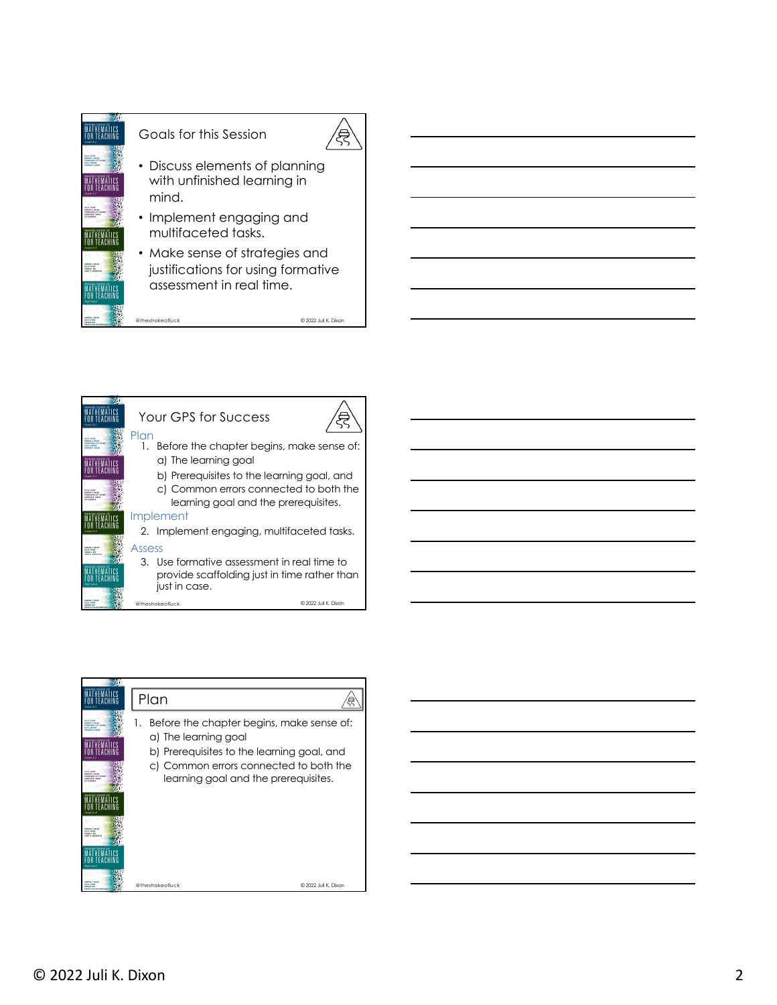



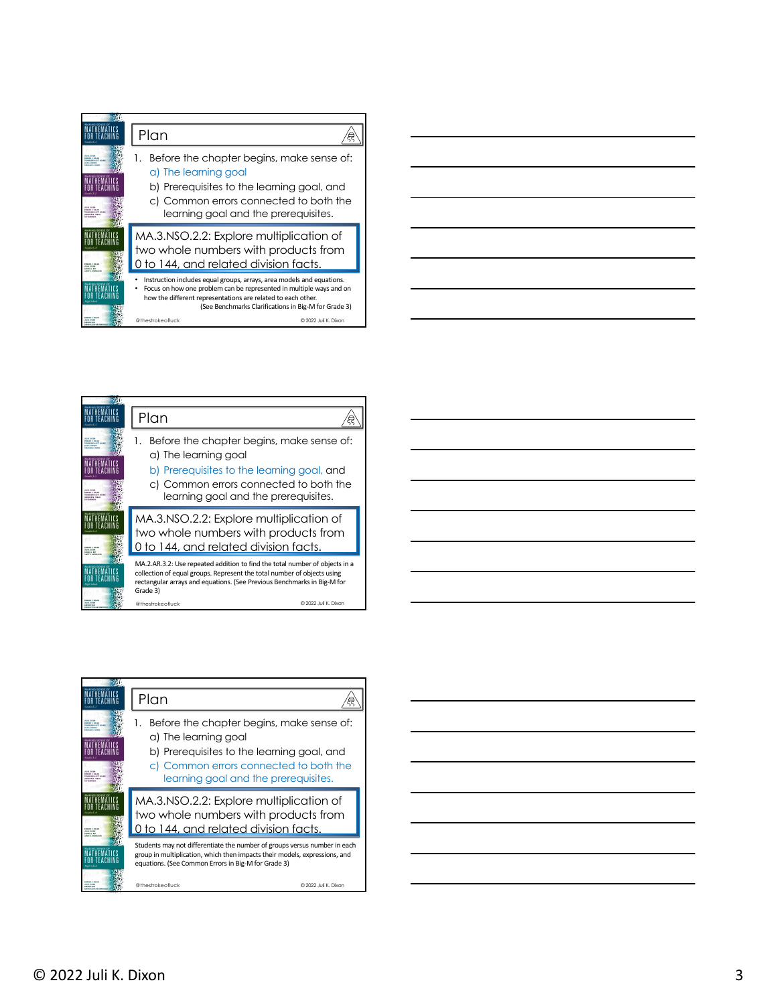|                                                                                                         | Plan                                                                                                                                                                                                                                                                                                             |
|---------------------------------------------------------------------------------------------------------|------------------------------------------------------------------------------------------------------------------------------------------------------------------------------------------------------------------------------------------------------------------------------------------------------------------|
| <b><i><u>DAILY CANAD</u></i></b><br><b>WEALTERN LOT MAKE</b><br><b>DAILY CANAD</b><br>WAASEWA 10FF AGAN | Before the chapter begins, make sense of:<br>1.<br>a) The learning goal<br>b) Prerequisites to the learning goal, and<br>c) Common errors connected to both the<br>learning goal and the prerequisites.                                                                                                          |
| <b>HELP BIRTH</b><br><b>COAST &amp; RM</b>                                                              | MA.3.NSO.2.2: Explore multiplication of<br>two whole numbers with products from<br>0 to 144, and related division facts.                                                                                                                                                                                         |
| <b>SALES F. MILLER</b><br><b>HILL BOAT</b>                                                              | Instruction includes equal groups, arrays, area models and equations.<br>Focus on how one problem can be represented in multiple ways and on<br>how the different representations are related to each other.<br>(See Benchmarks Clarifications in Big-M for Grade 3)<br>@ 2022 Juli K. Dixon<br>@thestrokeofluck |

|                                                                                                                     | ____ |
|---------------------------------------------------------------------------------------------------------------------|------|
|                                                                                                                     |      |
|                                                                                                                     |      |
|                                                                                                                     |      |
| and the contract of the contract of the contract of the contract of the contract of the contract of the contract of |      |
|                                                                                                                     |      |

|                                 | Plan                                                                                                                                                                                                                                          |
|---------------------------------|-----------------------------------------------------------------------------------------------------------------------------------------------------------------------------------------------------------------------------------------------|
| DAMAGE REGAN                    | 1.                                                                                                                                                                                                                                            |
| <b>NEWALEN A LOTT AGAIN</b>     | Before the chapter begins, make sense of:                                                                                                                                                                                                     |
| <b>TA A SERATE</b>              | a) The learning goal                                                                                                                                                                                                                          |
| <b>DAIRE C BOLAN</b>            | b) Prerequisites to the learning goal, and                                                                                                                                                                                                    |
| <b>HASSING LIVE ARAN</b>        | c) Common errors connected to both the                                                                                                                                                                                                        |
| <b><i>SHELLY M. THEA</i></b>    | learning goal and the prerequisites.                                                                                                                                                                                                          |
| <b><i><u>DAIDY CANN</u></i></b> | MA.3.NSO.2.2: Explore multiplication of                                                                                                                                                                                                       |
| <b>HILE BIRTH</b>               | two whole numbers with products from                                                                                                                                                                                                          |
| <b>CERTA C. BMC</b>             | 0 to 144, and related division facts.                                                                                                                                                                                                         |
| <b><i>INSERT F. MOLAN</i></b>   | MA.2.AR.3.2: Use repeated addition to find the total number of objects in a<br>collection of equal groups. Represent the total number of objects using<br>rectangular arrays and equations. (See Previous Benchmarks in Big-M for<br>Grade 3) |
| <b>HELP WATER</b>               | © 2022 Juli K. Dixon                                                                                                                                                                                                                          |
| <b>ARTIST TAT</b>               | @thestrokeofluck                                                                                                                                                                                                                              |

|                                                                                                                                           | Plan                                                                                                                                                                                                           |
|-------------------------------------------------------------------------------------------------------------------------------------------|----------------------------------------------------------------------------------------------------------------------------------------------------------------------------------------------------------------|
| <b>MARS C. MALAS</b><br><b>WEALTERN STOP START</b><br><b>TA A SERVIT</b><br>Guida 1<br><b>MARIN F. MILAN</b><br><b>CORACERA LIVY ARAS</b> | Before the chapter begins, make sense of:<br>a) The learning goal<br>b) Prerequisites to the learning goal, and<br>c) Common errors connected to both the<br>learning goal and the prerequisites.              |
| <b>SALES CASE</b><br><b>HILE BIRTH</b><br><b>CRAIN &amp; RM</b>                                                                           | MA.3.NSO.2.2: Explore multiplication of<br>two whole numbers with products from<br>0 to 144, and related division facts.                                                                                       |
|                                                                                                                                           | Students may not differentiate the number of groups versus number in each<br>group in multiplication, which then impacts their models, expressions, and<br>equations. (See Common Errors in Big-M for Grade 3) |
| <b>HARRY F. MOLA</b>                                                                                                                      | © 2022 Juli K. Dixon<br>@thestrokeofluck                                                                                                                                                                       |

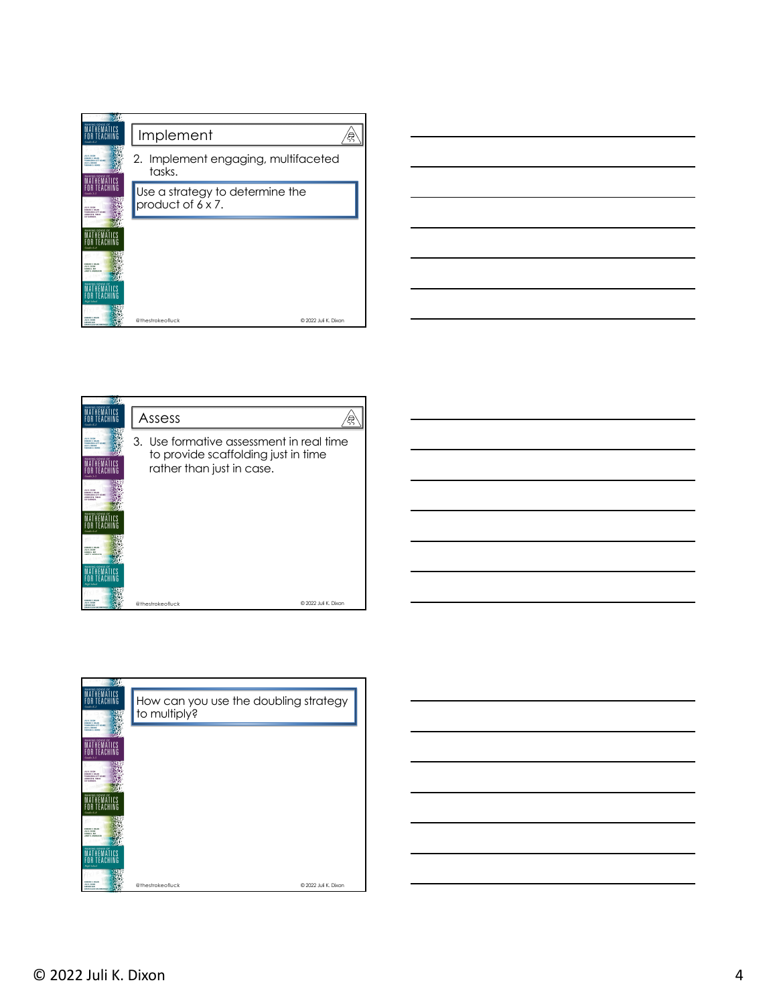| MAKING SENSE OF                                                                                                                                             |                                                      |  |
|-------------------------------------------------------------------------------------------------------------------------------------------------------------|------------------------------------------------------|--|
|                                                                                                                                                             | Implement                                            |  |
| <b>HALL BOOK</b><br><b>IDAMO C VILAN</b><br>THEMASEWA LOTT AGA<br><b><i>LEA &amp; BRANCH</i></b><br><b><i>SASAAAA D. WIND</i></b><br><b>MAKING SENSE OI</b> | 2. Implement engaging, multifaceted<br>tasks.        |  |
| Grades Av<br><b>HALF BASE</b><br><b>EDMAND C. BOLAN</b><br>THEMASENIA LOTT AGAINST<br>JENNIFER N. FORLAS<br><b>LEY EARMAN</b>                               | Use a strategy to determine the<br>product of 6 x 7. |  |
| <b>AAKING SENSE OI</b>                                                                                                                                      |                                                      |  |
| <b>ISMAND C NICAN</b><br><b>VELLE DIXIN</b><br><b>DEMANDE J. ROTT</b><br><b>INSTERNATION</b>                                                                |                                                      |  |
| <b>EDIMIAD C. NOLAN</b><br><b>HALF BASE</b><br><b>ARTIST TAT</b>                                                                                            | @ 2022 Juli K. Dixon<br>@thestrokeofluck             |  |



| <b>Coolin E.</b>                                                                                                                   | Assess                                                                                                       |  |
|------------------------------------------------------------------------------------------------------------------------------------|--------------------------------------------------------------------------------------------------------------|--|
| <b>HALF BANK</b><br><b>ISMAND C NICAN</b><br>THEMASEWA LOTT AGAINST<br><b>LES A. BRIDERS</b><br><b>ASSANA D. HEWS</b><br>Grader Av | 3. Use formative assessment in real time<br>to provide scaffolding just in time<br>rather than just in case. |  |
| <b>HALF BASE</b><br><b>CONSULT AN AN</b><br>THEMASEWA LOTT MEANS<br>JENNIFER N. FORLAS<br><b>LEY EARMAN</b>                        |                                                                                                              |  |
| <b>MAKING SENSE OF</b><br>Greder 6-8                                                                                               |                                                                                                              |  |
| <b>EDWARD C. MOLAN</b><br>JULI 6, D.KON<br><b>NEWSFILM</b><br><b>JANEY R. ANTIFERED</b>                                            |                                                                                                              |  |
|                                                                                                                                    |                                                                                                              |  |
| <b>ISBANY F NOAR</b><br><b>HALF BASE</b><br><b>LARTING TACK</b><br><b><i>Book Street Bands</i></b>                                 | @ 2022 Juli K. Dixon<br>@thestrokeofluck                                                                     |  |

| M.                                                                                                              |                                                       |                      |  |
|-----------------------------------------------------------------------------------------------------------------|-------------------------------------------------------|----------------------|--|
| <b>MAKING SENSE OF</b><br><b>Cooln E.A</b><br><b>JULIE BASE</b><br><b>IDAMO C VILAN</b><br>THEMASEWA LOTT MANNE | How can you use the doubling strategy<br>to multiply? |                      |  |
| USA A SHOCKS<br><b>TARABAA A WINNA</b><br><b>MAKING SENSE OF</b>                                                |                                                       |                      |  |
| Grade 1-5<br><b>JULIE DATE</b>                                                                                  |                                                       |                      |  |
| <b>IDMAND C NOLAN</b><br>THEMASENIA LOTT AGAINST<br>JENNIFER N. FORLAS<br><b>SEY ENRIPOIA</b>                   |                                                       |                      |  |
| MAKING SENSE OF<br>$G$ with $6.8$                                                                               |                                                       |                      |  |
| <b>IZALID C NILLY</b><br>JULIE DATE<br><b>DERMIE J. RIPS</b><br>(ANTTO ANDEEMER)<br><b>MAKING SENSE OF</b>      |                                                       |                      |  |
| <b>Hink School</b>                                                                                              |                                                       |                      |  |
| <b>EDIMINO C. NOLAN</b><br>JULI 6, 01924<br><b>IARDNO THIS</b><br>ERION SILEM ANDERSON                          | @thestrokeofluck                                      | @ 2022 Juli K. Dixon |  |

© 2022 Juli K. Dixon 4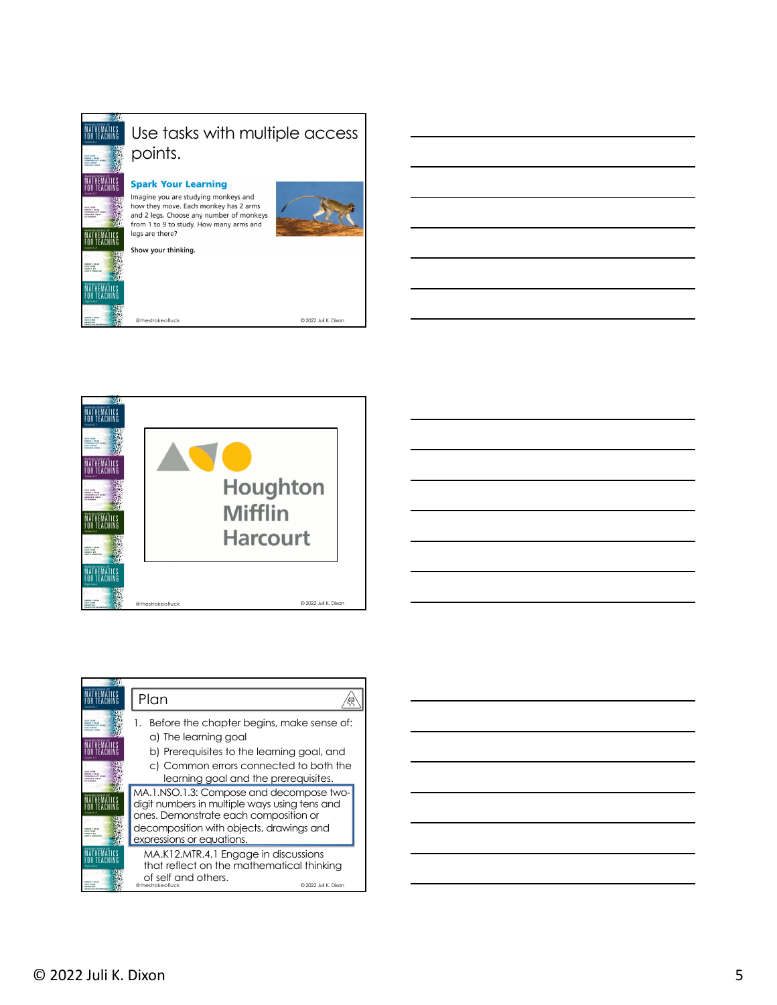



|                                                 | Plan                                                                                                                                                                                                        |
|-------------------------------------------------|-------------------------------------------------------------------------------------------------------------------------------------------------------------------------------------------------------------|
| <b>MARIN CANADA</b><br><b>HARRIS LIFT ARA</b>   | Before the chapter begins, make sense of:<br>a) The learning goal<br>b) Prerequisites to the learning goal, and                                                                                             |
| <b>MARS C. MILAN</b><br><b>HARRIS LIVY ARAS</b> | c) Common errors connected to both the<br>learning goal and the prerequisites.                                                                                                                              |
| <b>HILE BIRTH</b>                               | MA.1.NSO.1.3: Compose and decompose two-<br>digit numbers in multiple ways using tens and<br>ones. Demonstrate each composition or<br>decomposition with objects, drawings and<br>expressions or equations. |
| <b>HILL BOAT</b><br><b>ARTIST TAT</b>           | MA.K12.MTR.4.1 Engage in discussions<br>that reflect on the mathematical thinking<br>of self and others.<br>@thestrokeofluck<br>© 2022 Juli K. Dixon                                                        |

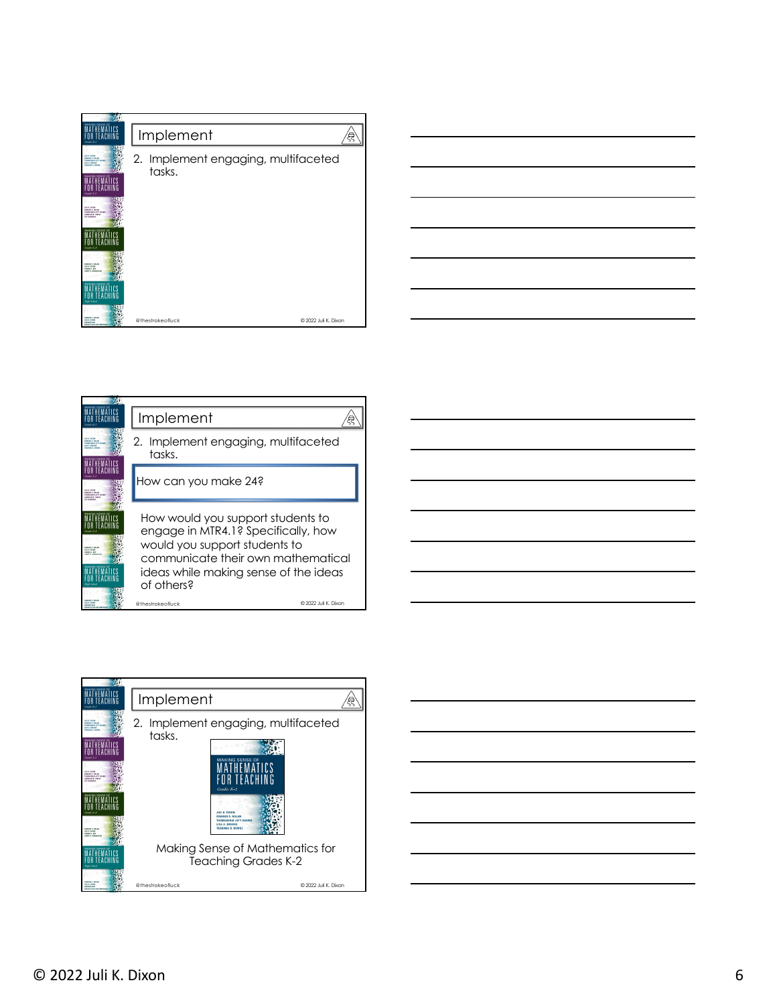| <b>MAKING SENSE OF</b><br>Gordo K-2                                                                                                                                    | Implement                                        |                      |
|------------------------------------------------------------------------------------------------------------------------------------------------------------------------|--------------------------------------------------|----------------------|
| <b>JULIE BASE</b><br><b>IDAMO C VILAN</b><br>THEMASEWA LOTT AGAINST<br><b>USA A. 000043</b><br><b><i>SASAAAA &amp; UPAR</i></b><br><b>MAKING SENSE OF</b><br>Grade 1-5 | Implement engaging, multifaceted<br>2.<br>tasks. |                      |
| JULIE DATE<br><b>EDMAND C. NOLAN</b><br>THEMASENIA LOTT AGAINST<br>JENNIFER N. FORLAS<br><b>LEY EARNMAN</b>                                                            |                                                  |                      |
| MAXIMO SEMSE OI                                                                                                                                                        |                                                  |                      |
| <b>EDMAND C. MOLAN</b><br>JULI 6, DIXIN<br><b>DERMIE J. ROY</b><br><b>ANTE ANNIVER</b>                                                                                 |                                                  |                      |
| <b>MAKING SENSE OF</b><br><b>High School</b>                                                                                                                           |                                                  |                      |
| <b>EDIMINO C. BOLAN</b><br>JULI 6, 01924<br><b>EARTHING SAFE</b><br><b>LEWIS CO. LOT.</b>                                                                              | @thestrokeofluck                                 | @ 2022 Juli K. Dixon |



|                                                                                                              | Implement                                                                                                                                                                                              |
|--------------------------------------------------------------------------------------------------------------|--------------------------------------------------------------------------------------------------------------------------------------------------------------------------------------------------------|
| <b>HALF BOOK</b><br><b>DAILY C VILLY</b><br>THEMASEWA LOTT MEANS<br><b>TAX ARRANT</b><br><b>MAAAAA</b> A WOW | Implement engaging, multifaceted<br>2.<br>tasks.                                                                                                                                                       |
| <b>ULLE DATE</b><br><b>DAMO C VILAN</b><br><b>THEASENA LOTT MEANS</b><br><b>ENGINEER OF THE AT</b>           | How can you make 24?                                                                                                                                                                                   |
| <b>MAKING SENSE O</b><br><b><i><u>DAID CAUSE</u></i></b><br><b>HELP HINNE</b><br><b>CRAIN &amp; RM</b>       | How would you support students to<br>engage in MTR4.1? Specifically, how<br>would you support students to<br>communicate their own mathematical<br>ideas while making sense of the ideas<br>of others? |
| <b><i><u>INNESSE NILLE</u></i></b><br><b>HELP WATER</b><br><b>ARTIST TAT</b>                                 | © 2022 Juli K. Dixon<br>@thestrokeofluck                                                                                                                                                               |



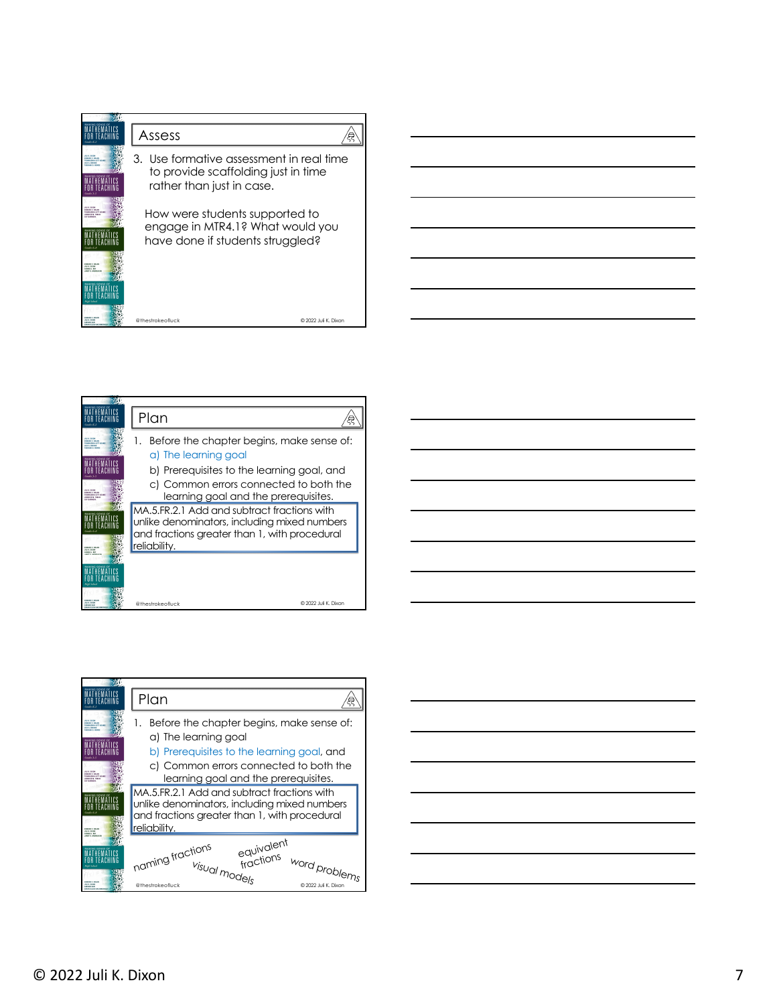

|                                                                  | Plan                                                                                                                                                                   |  |
|------------------------------------------------------------------|------------------------------------------------------------------------------------------------------------------------------------------------------------------------|--|
| <b>MARIN CANADA</b><br><b>HARRIS LIFT LEAR</b>                   | Before the chapter begins, make sense of:<br>a) The learning goal                                                                                                      |  |
| <b>MARKS F. NOLAN</b><br><b>HASSAN LIVY LEAR</b>                 | b) Prerequisites to the learning goal, and<br>c) Common errors connected to both the<br>learning goal and the prerequisites.                                           |  |
| <b>BULE BOOK</b><br><b>CRAIN &amp; RM</b>                        | IMA.5.FR.2.1 Add and subtract fractions with<br>unlike denominators, including mixed numbers<br>and fractions greater than 1, with procedural<br><b>I</b> reliability. |  |
| <b>SALES F. MILLER</b><br><b>HALF BASE</b><br><b>LEATHER TAX</b> | © 2022 Juli K. Dixon<br>@thestrokeofluck                                                                                                                               |  |



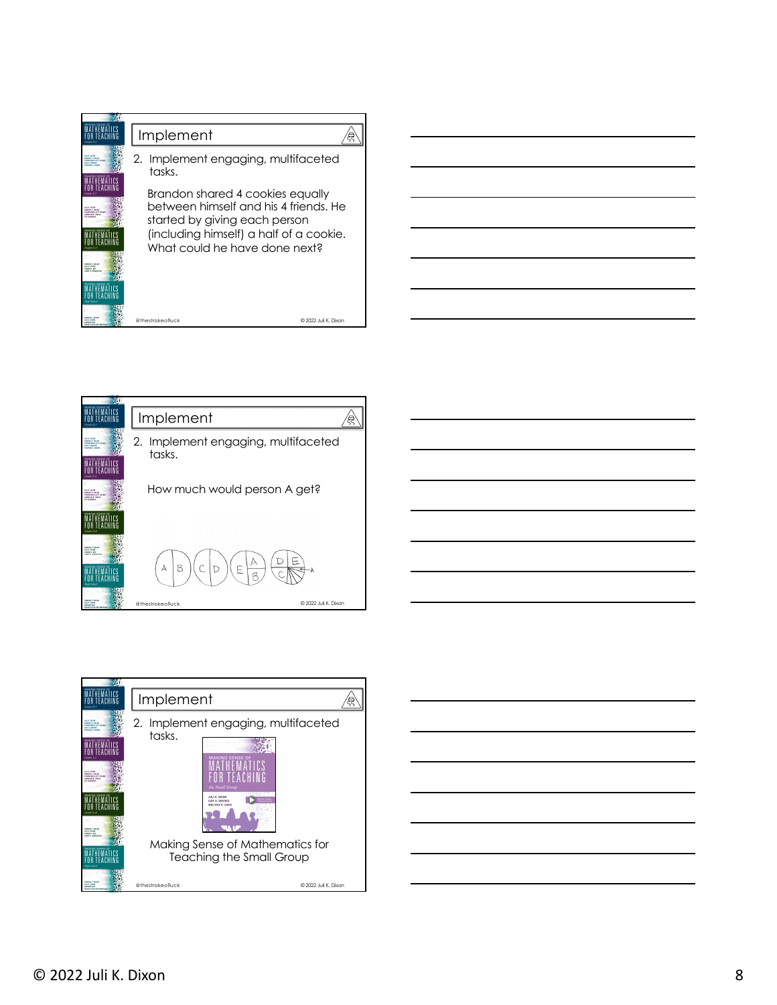

2. Implement engaging, multifaceted

How much would person A get?

D

Implement

 $\overline{B}$ Ċ

 $\forall$ 

tasks.

MATHEMATICS<br>For Teaching





 $@2022$  Juli K. Di

飡

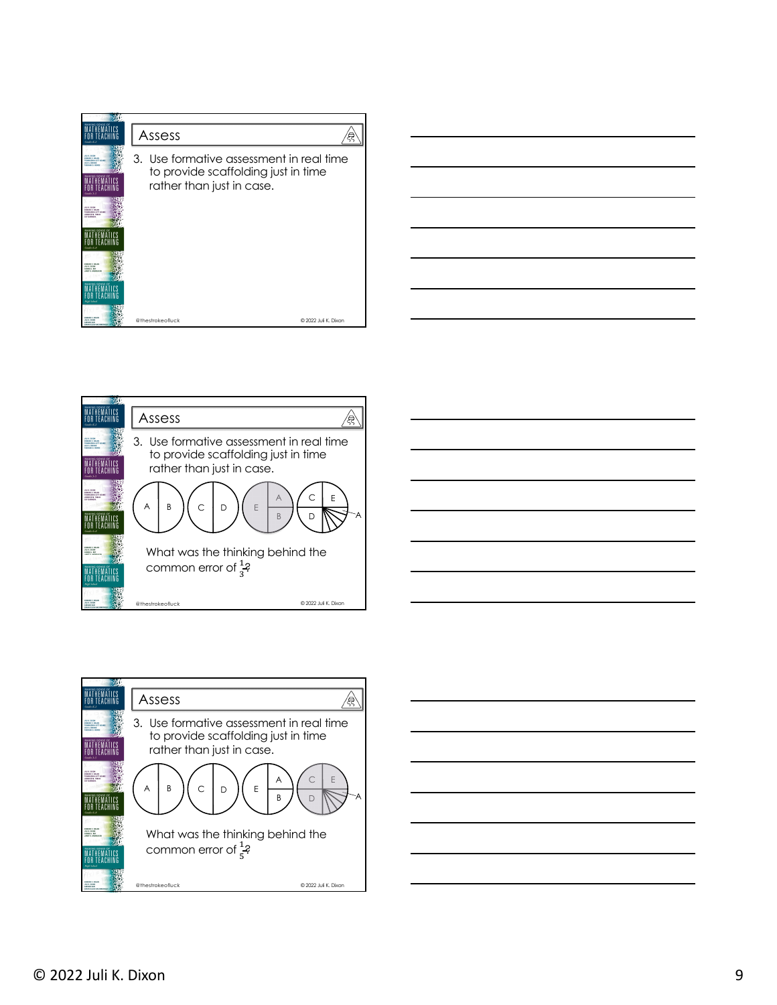| MAKING SENSE OF                                                                                                                                                 | Assess                                                                                                       |                      |
|-----------------------------------------------------------------------------------------------------------------------------------------------------------------|--------------------------------------------------------------------------------------------------------------|----------------------|
| <b>HALL BOOK</b><br><b>IDAMO C VILAN</b><br>THEMASENIA LOTT AGAINST<br><b><i>LEA &amp; BRANCH</i></b><br><b><i>SASAAAA A WIND</i></b><br><b>MAKING SENSE OF</b> | 3. Use formative assessment in real time<br>to provide scaffolding just in time<br>rather than just in case. |                      |
| <b>HALF BASE</b><br><b>IDMAND C NOLAN</b><br>THEMASENIA LOTT AGAINST<br>JENNIFER N. FORLAS<br><b>LEY EARNMAN</b>                                                |                                                                                                              |                      |
|                                                                                                                                                                 |                                                                                                              |                      |
| <b>ISMAND C NICAN</b><br><b>VELLE DIXIN</b><br><b>DEMANDE J. ROTT</b><br><b>INSTERNATION</b>                                                                    |                                                                                                              |                      |
| MAYING KEMSE O<br><b>Black Column</b>                                                                                                                           |                                                                                                              |                      |
| <b>ISMAND C. BOLAN</b><br><b>HALF BASE</b><br><b>LARTING TACK</b>                                                                                               | @thestrokeofluck                                                                                             | @ 2022 Juli K. Dixon |







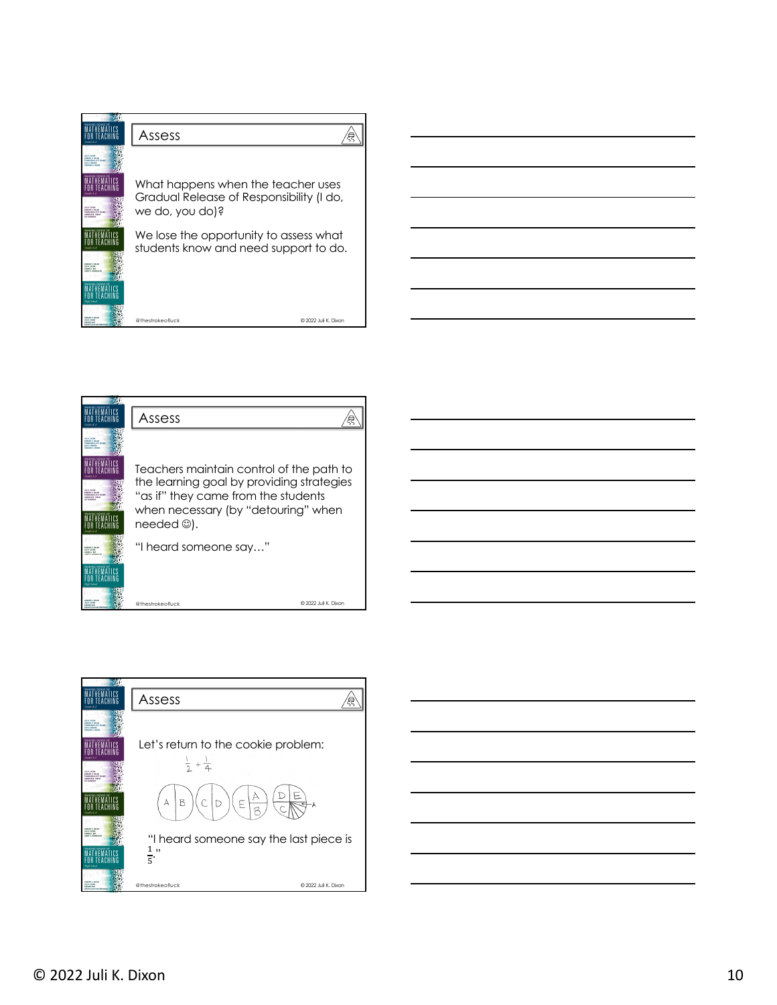